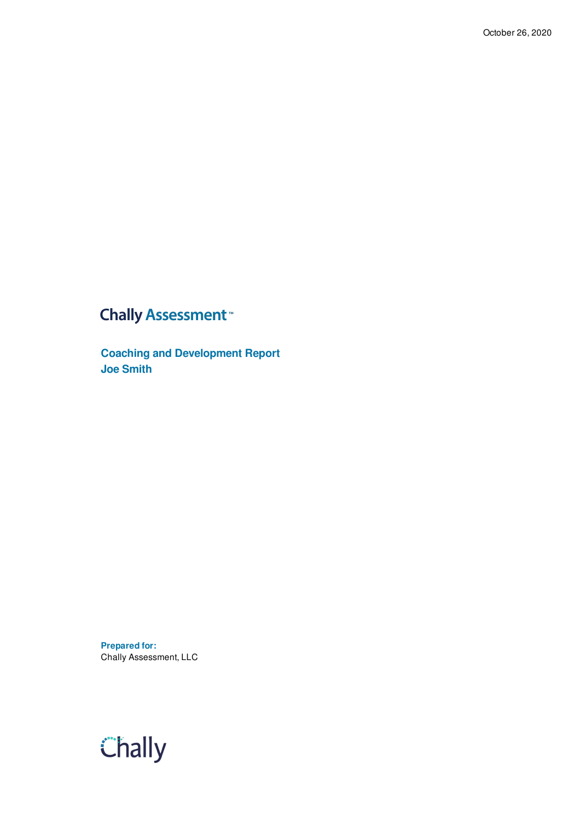### **Chally Assessment**<sup>™</sup>

**Coaching and Development Report Joe Smith**

**Prepared for:** Chally Assessment, LLC

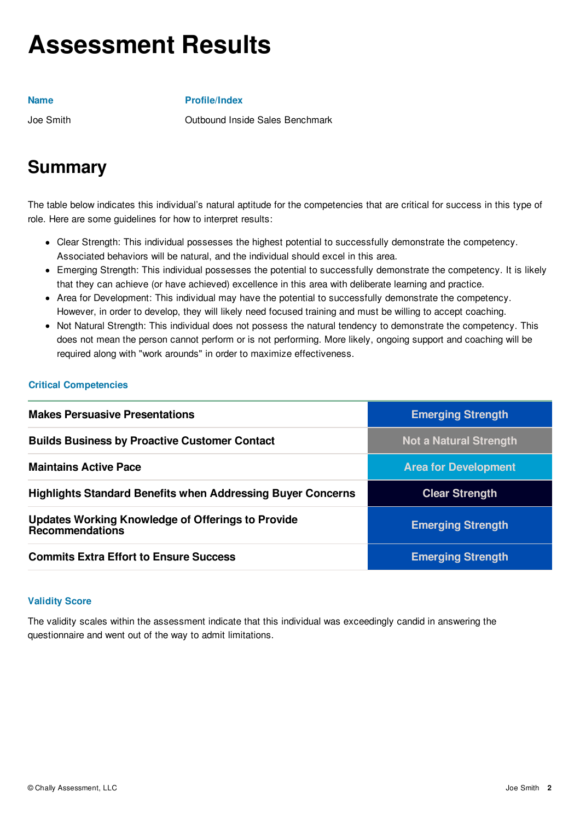## **Assessment Results**

#### **Name**

### **Profile/Index**

Joe Smith

Outbound Inside Sales Benchmark

## **Summary**

The table below indicates this individual's natural aptitude for the competencies that are critical for success in this type of role. Here are some guidelines for how to interpret results:

- Clear Strength: This individual possesses the highest potential to successfully demonstrate the competency. Associated behaviors will be natural, and the individual should excel in this area.
- Emerging Strength: This individual possesses the potential to successfully demonstrate the competency. It is likely that they can achieve (or have achieved) excellence in this area with deliberate learning and practice.
- Area for Development: This individual may have the potential to successfully demonstrate the competency. However, in order to develop, they will likely need focused training and must be willing to accept coaching.
- Not Natural Strength: This individual does not possess the natural tendency to demonstrate the competency. This does not mean the person cannot perform or is not performing. More likely, ongoing support and coaching will be required along with "work arounds" in order to maximize effectiveness.

### **Critical Competencies**

| <b>Makes Persuasive Presentations</b>                                       | <b>Emerging Strength</b>    |
|-----------------------------------------------------------------------------|-----------------------------|
| <b>Builds Business by Proactive Customer Contact</b>                        | Not a Natural Strength      |
| <b>Maintains Active Pace</b>                                                | <b>Area for Development</b> |
| <b>Highlights Standard Benefits when Addressing Buyer Concerns</b>          | <b>Clear Strength</b>       |
| <b>Updates Working Knowledge of Offerings to Provide</b><br>Recommendations | <b>Emerging Strength</b>    |
| <b>Commits Extra Effort to Ensure Success</b>                               | <b>Emerging Strength</b>    |

#### **Validity Score**

The validity scales within the assessment indicate that this individual was exceedingly candid in answering the questionnaire and went out of the way to admit limitations.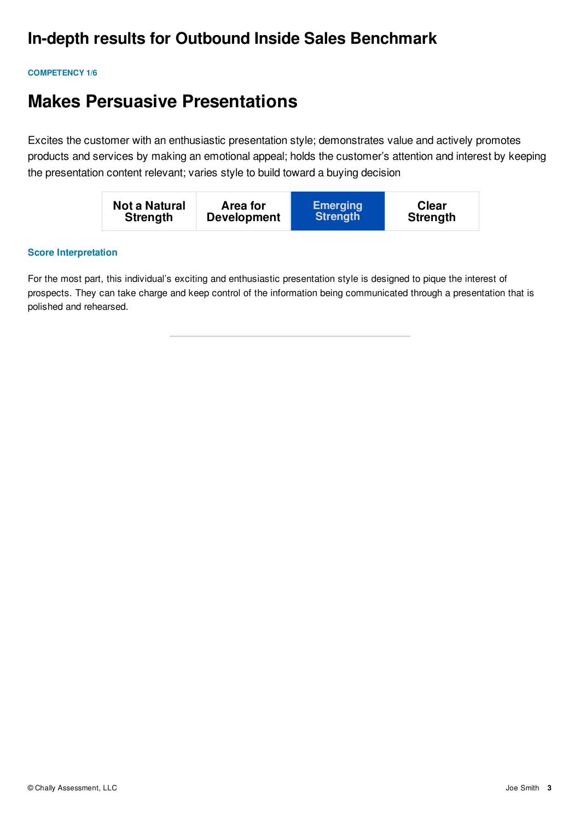## **In-depth results for Outbound Inside Sales Benchmark**

#### **COMPETENCY 1/6**

## **Makes Persuasive Presentations**

Excites the customer with an enthusiastic presentation style; demonstrates value and actively promotes products and services by making an emotional appeal; holds the customer's attention and interest by keeping the presentation content relevant; varies style to build toward a buying decision

| Not a Natural   | Area for           | <b>Emerging</b> | <b>Clear</b>    |
|-----------------|--------------------|-----------------|-----------------|
| <b>Strength</b> | <b>Development</b> | <b>Strength</b> | <b>Strength</b> |

#### **Score Interpretation**

For the most part, this individual's exciting and enthusiastic presentation style is designed to pique the interest of prospects. They can take charge and keep control of the information being communicated through a presentation that is polished and rehearsed.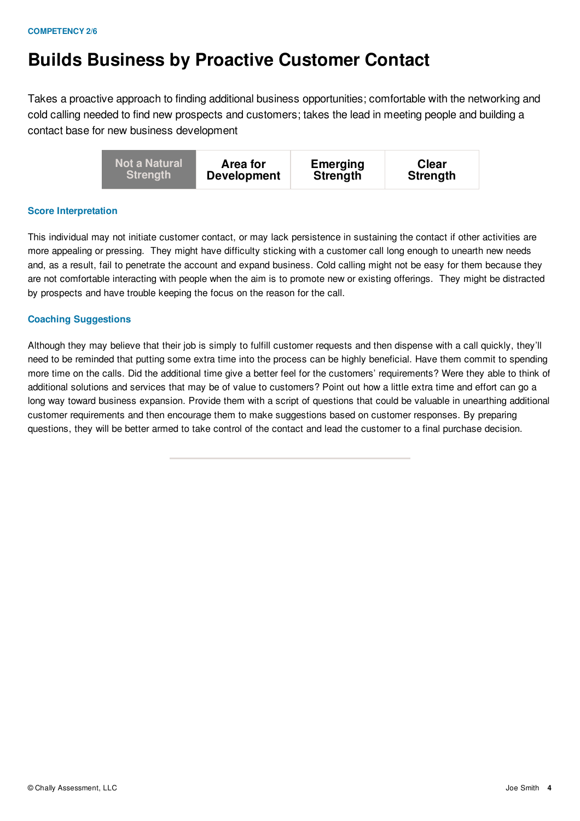## **Builds Business by Proactive Customer Contact**

Takes a proactive approach to finding additional business opportunities; comfortable with the networking and cold calling needed to find new prospects and customers; takes the lead in meeting people and building a contact base for new business development

#### **Score Interpretation**

This individual may not initiate customer contact, or may lack persistence in sustaining the contact if other activities are more appealing or pressing. They might have difficulty sticking with a customer call long enough to unearth new needs and, as a result, fail to penetrate the account and expand business. Cold calling might not be easy for them because they are not comfortable interacting with people when the aim is to promote new or existing offerings. They might be distracted by prospects and have trouble keeping the focus on the reason for the call.

#### **Coaching Suggestions**

Although they may believe that their job is simply to fulfill customer requests and then dispense with a call quickly, they'll need to be reminded that putting some extra time into the process can be highly beneficial. Have them commit to spending more time on the calls. Did the additional time give a better feel for the customers' requirements? Were they able to think of additional solutions and services that may be of value to customers? Point out how a little extra time and effort can go a long way toward business expansion. Provide them with a script of questions that could be valuable in unearthing additional customer requirements and then encourage them to make suggestions based on customer responses. By preparing questions, they will be better armed to take control of the contact and lead the customer to a final purchase decision.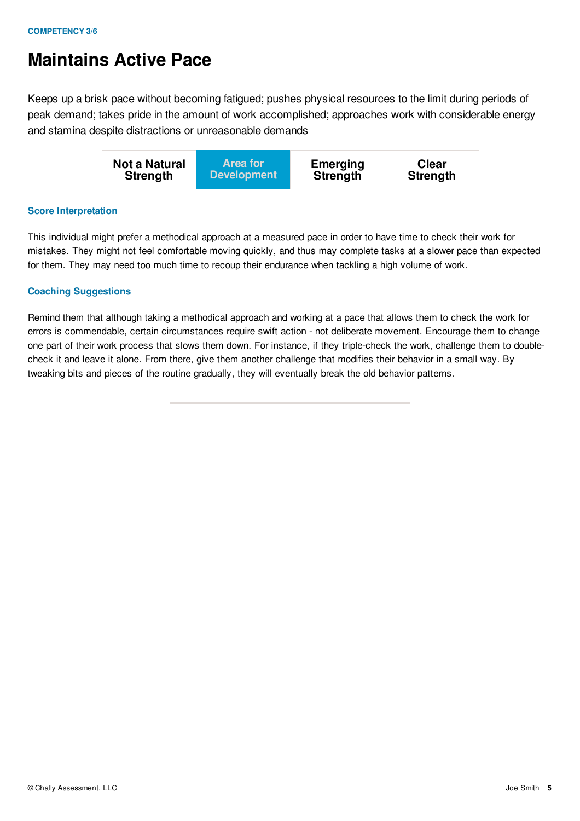## **Maintains Active Pace**

Keeps up a brisk pace without becoming fatigued; pushes physical resources to the limit during periods of peak demand; takes pride in the amount of work accomplished; approaches work with considerable energy and stamina despite distractions or unreasonable demands

| <b>Not a Natural</b> | <b>Area for</b>    | <b>Emerging</b> | <b>Clear</b>    |
|----------------------|--------------------|-----------------|-----------------|
| <b>Strength</b>      | <b>Development</b> | <b>Strength</b> | <b>Strength</b> |

### **Score Interpretation**

This individual might prefer a methodical approach at a measured pace in order to have time to check their work for mistakes. They might not feel comfortable moving quickly, and thus may complete tasks at a slower pace than expected for them. They may need too much time to recoup their endurance when tackling a high volume of work.

### **Coaching Suggestions**

Remind them that although taking a methodical approach and working at a pace that allows them to check the work for errors is commendable, certain circumstances require swift action - not deliberate movement. Encourage them to change one part of their work process that slows them down. For instance, if they triple-check the work, challenge them to doublecheck it and leave it alone. From there, give them another challenge that modifies their behavior in a small way. By tweaking bits and pieces of the routine gradually, they will eventually break the old behavior patterns.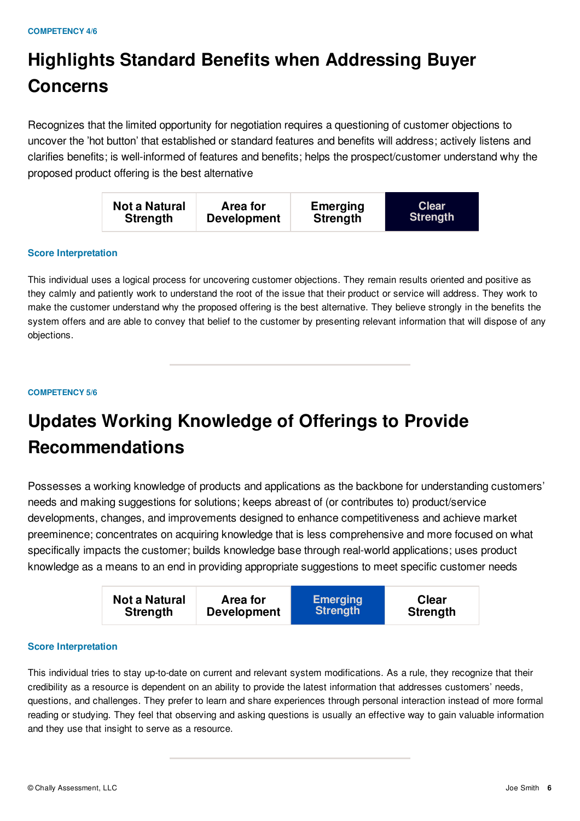## **Highlights Standard Benefits when Addressing Buyer Concerns**

Recognizes that the limited opportunity for negotiation requires a questioning of customer objections to uncover the 'hot button' that established or standard features and benefits will address; actively listens and clarifies benefits; is well-informed of features and benefits; helps the prospect/customer understand why the proposed product offering is the best alternative

| Not a Natural   | Area for           | <b>Emerging</b> | <b>Clear</b>    |
|-----------------|--------------------|-----------------|-----------------|
| <b>Strength</b> | <b>Development</b> | <b>Strength</b> | <b>Strength</b> |

#### **Score Interpretation**

This individual uses a logical process for uncovering customer objections. They remain results oriented and positive as they calmly and patiently work to understand the root of the issue that their product or service will address. They work to make the customer understand why the proposed offering is the best alternative. They believe strongly in the benefits the system offers and are able to convey that belief to the customer by presenting relevant information that will dispose of any objections.

#### **COMPETENCY 5/6**

## **Updates Working Knowledge of Offerings to Provide Recommendations**

Possesses a working knowledge of products and applications as the backbone for understanding customers' needs and making suggestions for solutions; keeps abreast of (or contributes to) product/service developments, changes, and improvements designed to enhance competitiveness and achieve market preeminence; concentrates on acquiring knowledge that is less comprehensive and more focused on what specifically impacts the customer; builds knowledge base through real-world applications; uses product knowledge as a means to an end in providing appropriate suggestions to meet specific customer needs

| Not a Natural   | <b>Area for</b>    | <b>Emerging</b> | <b>Clear</b>    |
|-----------------|--------------------|-----------------|-----------------|
| <b>Strength</b> | <b>Development</b> | <b>Strength</b> | <b>Strength</b> |
|                 |                    |                 |                 |

#### **Score Interpretation**

This individual tries to stay up-to-date on current and relevant system modifications. As a rule, they recognize that their credibility as a resource is dependent on an ability to provide the latest information that addresses customers' needs, questions, and challenges. They prefer to learn and share experiences through personal interaction instead of more formal reading or studying. They feel that observing and asking questions is usually an effective way to gain valuable information and they use that insight to serve as a resource.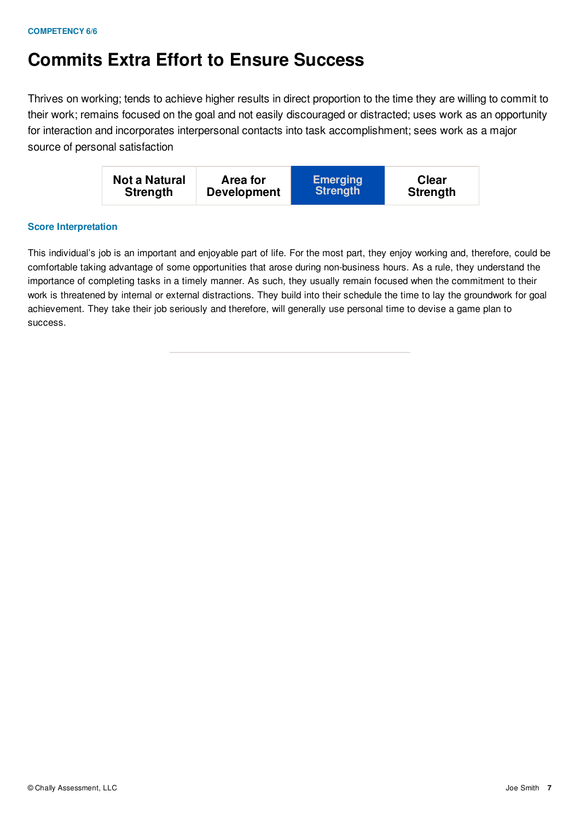## **Commits Extra Effort to Ensure Success**

Thrives on working; tends to achieve higher results in direct proportion to the time they are willing to commit to their work; remains focused on the goal and not easily discouraged or distracted; uses work as an opportunity for interaction and incorporates interpersonal contacts into task accomplishment; sees work as a major source of personal satisfaction



### **Score Interpretation**

This individual's job is an important and enjoyable part of life. For the most part, they enjoy working and, therefore, could be comfortable taking advantage of some opportunities that arose during non-business hours. As a rule, they understand the importance of completing tasks in a timely manner. As such, they usually remain focused when the commitment to their work is threatened by internal or external distractions. They build into their schedule the time to lay the groundwork for goal achievement. They take their job seriously and therefore, will generally use personal time to devise a game plan to success.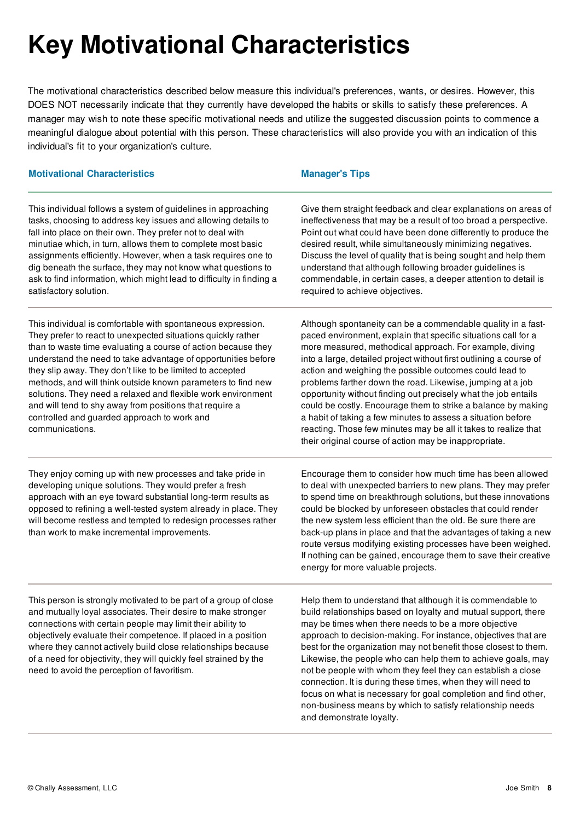# **Key Motivational Characteristics**

The motivational characteristics described below measure this individual's preferences, wants, or desires. However, this DOES NOT necessarily indicate that they currently have developed the habits or skills to satisfy these preferences. A manager may wish to note these specific motivational needs and utilize the suggested discussion points to commence a meaningful dialogue about potential with this person. These characteristics will also provide you with an indication of this individual's fit to your organization's culture.

#### **Motivational Characteristics Manager's Tips**

This individual follows a system of guidelines in approaching tasks, choosing to address key issues and allowing details to fall into place on their own. They prefer not to deal with minutiae which, in turn, allows them to complete most basic assignments efficiently. However, when a task requires one to dig beneath the surface, they may not know what questions to ask to find information, which might lead to difficulty in finding a satisfactory solution.

This individual is comfortable with spontaneous expression. They prefer to react to unexpected situations quickly rather than to waste time evaluating a course of action because they understand the need to take advantage of opportunities before they slip away. They don't like to be limited to accepted methods, and will think outside known parameters to find new solutions. They need a relaxed and flexible work environment and will tend to shy away from positions that require a controlled and guarded approach to work and communications.

They enjoy coming up with new processes and take pride in developing unique solutions. They would prefer a fresh approach with an eye toward substantial long-term results as opposed to refining a well-tested system already in place. They will become restless and tempted to redesign processes rather than work to make incremental improvements.

Give them straight feedback and clear explanations on areas of ineffectiveness that may be a result of too broad a perspective. Point out what could have been done differently to produce the desired result, while simultaneously minimizing negatives. Discuss the level of quality that is being sought and help them understand that although following broader guidelines is commendable, in certain cases, a deeper attention to detail is required to achieve objectives.

Although spontaneity can be a commendable quality in a fastpaced environment, explain that specific situations call for a more measured, methodical approach. For example, diving into a large, detailed project without first outlining a course of action and weighing the possible outcomes could lead to problems farther down the road. Likewise, jumping at a job opportunity without finding out precisely what the job entails could be costly. Encourage them to strike a balance by making a habit of taking a few minutes to assess a situation before reacting. Those few minutes may be all it takes to realize that their original course of action may be inappropriate.

Encourage them to consider how much time has been allowed to deal with unexpected barriers to new plans. They may prefer to spend time on breakthrough solutions, but these innovations could be blocked by unforeseen obstacles that could render the new system less efficient than the old. Be sure there are back-up plans in place and that the advantages of taking a new route versus modifying existing processes have been weighed. If nothing can be gained, encourage them to save their creative energy for more valuable projects.

This person is strongly motivated to be part of a group of close and mutually loyal associates. Their desire to make stronger connections with certain people may limit their ability to objectively evaluate their competence. If placed in a position where they cannot actively build close relationships because of a need for objectivity, they will quickly feel strained by the need to avoid the perception of favoritism.

Help them to understand that although it is commendable to build relationships based on loyalty and mutual support, there may be times when there needs to be a more objective approach to decision-making. For instance, objectives that are best for the organization may not benefit those closest to them. Likewise, the people who can help them to achieve goals, may not be people with whom they feel they can establish a close connection. It is during these times, when they will need to focus on what is necessary for goal completion and find other, non-business means by which to satisfy relationship needs and demonstrate loyalty.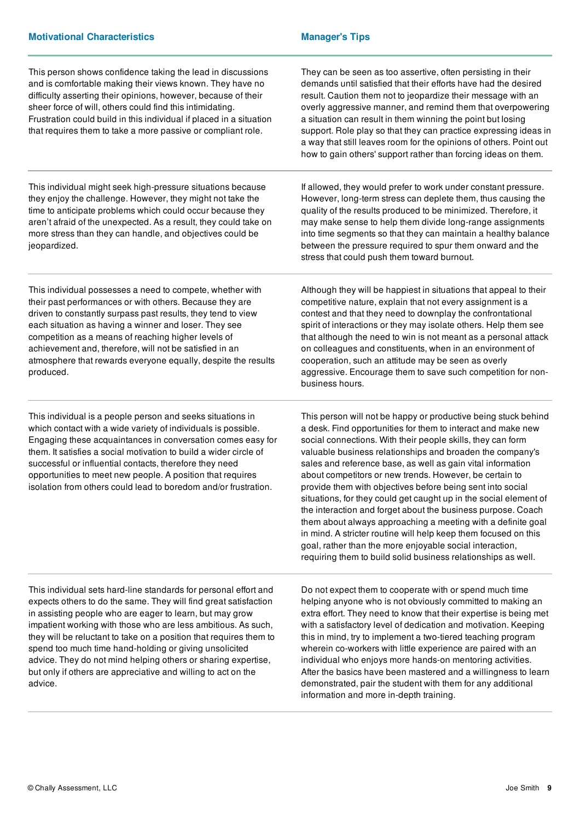| This person shows confidence taking the lead in discussions<br>and is comfortable making their views known. They have no<br>difficulty asserting their opinions, however, because of their<br>sheer force of will, others could find this intimidating.<br>Frustration could build in this individual if placed in a situation<br>that requires them to take a more passive or compliant role.                                                                                                                                                 | They can be seen as too assertive, often persisting in their<br>demands until satisfied that their efforts have had the desired<br>result. Caution them not to jeopardize their message with an<br>overly aggressive manner, and remind them that overpowering<br>a situation can result in them winning the point but losing<br>support. Role play so that they can practice expressing ideas in<br>a way that still leaves room for the opinions of others. Point out<br>how to gain others' support rather than forcing ideas on them.                                                                                                                                                                                                                                                                                                               |
|------------------------------------------------------------------------------------------------------------------------------------------------------------------------------------------------------------------------------------------------------------------------------------------------------------------------------------------------------------------------------------------------------------------------------------------------------------------------------------------------------------------------------------------------|---------------------------------------------------------------------------------------------------------------------------------------------------------------------------------------------------------------------------------------------------------------------------------------------------------------------------------------------------------------------------------------------------------------------------------------------------------------------------------------------------------------------------------------------------------------------------------------------------------------------------------------------------------------------------------------------------------------------------------------------------------------------------------------------------------------------------------------------------------|
| This individual might seek high-pressure situations because<br>they enjoy the challenge. However, they might not take the<br>time to anticipate problems which could occur because they<br>aren't afraid of the unexpected. As a result, they could take on<br>more stress than they can handle, and objectives could be<br>jeopardized.                                                                                                                                                                                                       | If allowed, they would prefer to work under constant pressure.<br>However, long-term stress can deplete them, thus causing the<br>quality of the results produced to be minimized. Therefore, it<br>may make sense to help them divide long-range assignments<br>into time segments so that they can maintain a healthy balance<br>between the pressure required to spur them onward and the<br>stress that could push them toward burnout.                                                                                                                                                                                                                                                                                                                                                                                                             |
| This individual possesses a need to compete, whether with<br>their past performances or with others. Because they are<br>driven to constantly surpass past results, they tend to view<br>each situation as having a winner and loser. They see<br>competition as a means of reaching higher levels of<br>achievement and, therefore, will not be satisfied in an<br>atmosphere that rewards everyone equally, despite the results<br>produced.                                                                                                 | Although they will be happiest in situations that appeal to their<br>competitive nature, explain that not every assignment is a<br>contest and that they need to downplay the confrontational<br>spirit of interactions or they may isolate others. Help them see<br>that although the need to win is not meant as a personal attack<br>on colleagues and constituents, when in an environment of<br>cooperation, such an attitude may be seen as overly<br>aggressive. Encourage them to save such competition for non-<br>business hours.                                                                                                                                                                                                                                                                                                             |
| This individual is a people person and seeks situations in<br>which contact with a wide variety of individuals is possible.<br>Engaging these acquaintances in conversation comes easy for<br>them. It satisfies a social motivation to build a wider circle of<br>successful or influential contacts, therefore they need<br>opportunities to meet new people. A position that requires<br>isolation from others could lead to boredom and/or frustration.                                                                                    | This person will not be happy or productive being stuck behind<br>a desk. Find opportunities for them to interact and make new<br>social connections. With their people skills, they can form<br>valuable business relationships and broaden the company's<br>sales and reference base, as well as gain vital information<br>about competitors or new trends. However, be certain to<br>provide them with objectives before being sent into social<br>situations, for they could get caught up in the social element of<br>the interaction and forget about the business purpose. Coach<br>them about always approaching a meeting with a definite goal<br>in mind. A stricter routine will help keep them focused on this<br>goal, rather than the more enjoyable social interaction,<br>requiring them to build solid business relationships as well. |
| This individual sets hard-line standards for personal effort and<br>expects others to do the same. They will find great satisfaction<br>in assisting people who are eager to learn, but may grow<br>impatient working with those who are less ambitious. As such,<br>they will be reluctant to take on a position that requires them to<br>spend too much time hand-holding or giving unsolicited<br>advice. They do not mind helping others or sharing expertise,<br>but only if others are appreciative and willing to act on the<br>advice. | Do not expect them to cooperate with or spend much time<br>helping anyone who is not obviously committed to making an<br>extra effort. They need to know that their expertise is being met<br>with a satisfactory level of dedication and motivation. Keeping<br>this in mind, try to implement a two-tiered teaching program<br>wherein co-workers with little experience are paired with an<br>individual who enjoys more hands-on mentoring activities.<br>After the basics have been mastered and a willingness to learn<br>demonstrated, pair the student with them for any additional<br>information and more in-depth training.                                                                                                                                                                                                                  |